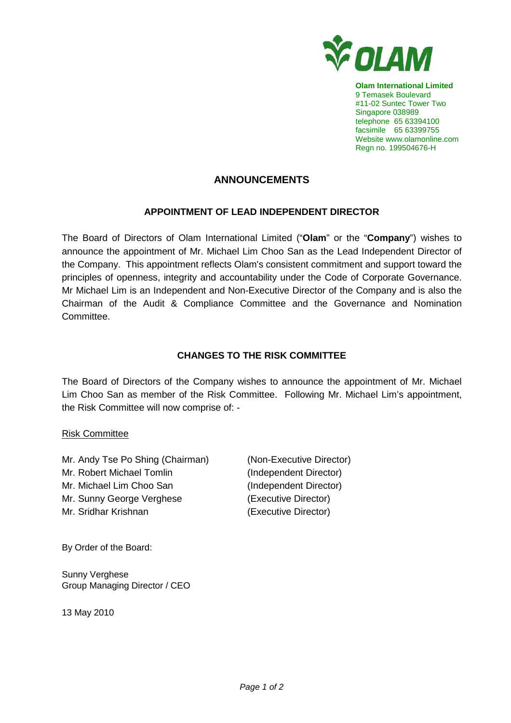

**Olam International Limited**  9 Temasek Boulevard #11-02 Suntec Tower Two Singapore 038989 telephone 65 63394100 facsimile 65 63399755 Website www.olamonline.com Regn no. 199504676-H

# **ANNOUNCEMENTS**

## **APPOINTMENT OF LEAD INDEPENDENT DIRECTOR**

The Board of Directors of Olam International Limited ("**Olam**" or the "**Company**") wishes to announce the appointment of Mr. Michael Lim Choo San as the Lead Independent Director of the Company. This appointment reflects Olam's consistent commitment and support toward the principles of openness, integrity and accountability under the Code of Corporate Governance. Mr Michael Lim is an Independent and Non-Executive Director of the Company and is also the Chairman of the Audit & Compliance Committee and the Governance and Nomination **Committee** 

## **CHANGES TO THE RISK COMMITTEE**

The Board of Directors of the Company wishes to announce the appointment of Mr. Michael Lim Choo San as member of the Risk Committee. Following Mr. Michael Lim's appointment, the Risk Committee will now comprise of: -

## Risk Committee

Mr. Andy Tse Po Shing (Chairman) (Non-Executive Director) Mr. Robert Michael Tomlin (Independent Director) Mr. Michael Lim Choo San (Independent Director) Mr. Sunny George Verghese (Executive Director) Mr. Sridhar Krishnan (Executive Director)

By Order of the Board:

Sunny Verghese Group Managing Director / CEO

13 May 2010